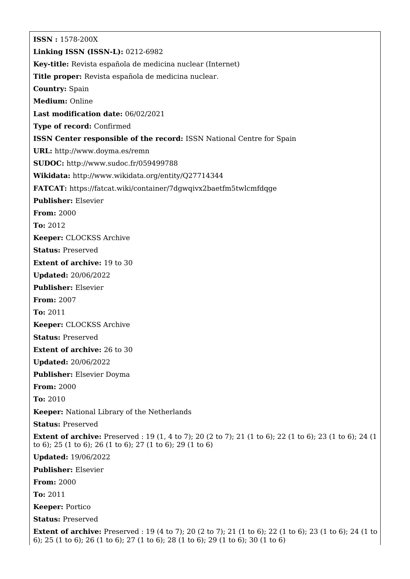**ISSN :** 1578-200X **Linking ISSN (ISSN-L):** 0212-6982 **Key-title:** Revista española de medicina nuclear (Internet) **Title proper:** Revista española de medicina nuclear. **Country:** Spain **Medium:** Online **Last modification date:** 06/02/2021 **Type of record:** Confirmed **ISSN Center responsible of the record:** ISSN National Centre for Spain **URL:** <http://www.doyma.es/remn> **SUDOC:** <http://www.sudoc.fr/059499788> **Wikidata:** <http://www.wikidata.org/entity/Q27714344> **FATCAT:** <https://fatcat.wiki/container/7dgwqivx2baetfm5twlcmfdqge> **Publisher:** Elsevier **From:** 2000 **To:** 2012 **Keeper:** CLOCKSS Archive **Status:** Preserved **Extent of archive:** 19 to 30 **Updated:** 20/06/2022 **Publisher:** Elsevier **From:** 2007 **To:** 2011 **Keeper:** CLOCKSS Archive **Status:** Preserved **Extent of archive:** 26 to 30 **Updated:** 20/06/2022 **Publisher:** Elsevier Doyma **From:** 2000 **To:** 2010 **Keeper:** National Library of the Netherlands **Status:** Preserved **Extent of archive:** Preserved : 19 (1, 4 to 7); 20 (2 to 7); 21 (1 to 6); 22 (1 to 6); 23 (1 to 6); 24 (1) to 6); 25 (1 to 6); 26 (1 to 6); 27 (1 to 6); 29 (1 to 6) **Updated:** 19/06/2022 **Publisher:** Elsevier **From:** 2000 **To:** 2011 **Keeper:** Portico **Status:** Preserved **Extent of archive:** Preserved : 19 (4 to 7); 20 (2 to 7); 21 (1 to 6); 22 (1 to 6); 23 (1 to 6); 24 (1 to 6); 25 (1 to 6); 26 (1 to 6); 27 (1 to 6); 28 (1 to 6); 29 (1 to 6); 30 (1 to 6)